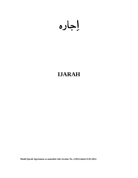# **IJARAH**

**Model Ijarah Agreement as amended vide circular No. 2/2014 dated 22.01.2014**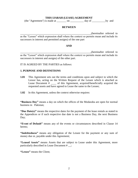#### **THIS IJARAH (LEASE) AGREEMENT**

(the "Agreement") is made at \_\_\_\_\_\_\_ on \_\_\_\_\_\_\_\_\_\_ day of \_\_\_\_\_\_\_\_\_\_by and

#### **BETWEEN**

\_\_\_\_\_\_\_\_\_\_\_\_\_\_\_\_\_\_\_\_\_\_\_\_\_\_\_\_\_\_\_\_\_\_\_\_\_\_\_\_\_\_\_\_\_\_\_\_\_\_\_\_,(hereinafter referred to as the "Lessee" which expression shall where the context so permits mean and include its successors in interest and permitted assigns) of the one part

#### **AND**

\_\_\_\_\_\_\_\_\_\_\_\_\_\_\_\_\_\_\_\_\_\_\_\_\_\_\_\_\_\_\_\_\_\_\_\_\_\_\_\_\_\_\_\_\_\_\_\_\_\_\_\_,(hereinafter referred to as the "Lessor" which expression shall where the context so permits mean and include its successors in interest and assigns) of the other part.

IT IS AGREED BY THE PARTIES as follows:

#### **1. PURPOSE AND DEFINITIONS**

- **1.01** This Agreement sets out the terms and conditions upon and subject to which the Lessor has, acting on the Written Request of the Lessee which is attached as Lease Document # of this Agreement, acquired/beneficially acquired the requested assets and have agreed to Lease the same to the Lessee;
- **1.02** In this Agreement, unless the context otherwise requires:

**"Business Day"** means a day on which the offices of the Modaraba are open for normal business in Pakistan;

**"Due Date(s)"** means the respective dates for the payment of the lease rentals as stated in the Appendices or if such respective due date is not a Business Day, the next Business Day;

**"Event of Default"** means any of the events or circumstances described in Clause 14 hereto;

**"Indebtedness"** means any obligation of the Lessee for the payment or any sum of money due or, payable under this Agreement;

**"Leased Assets"** means Assets that are subject to Lease under this Agreement, more particularly described in Lease Document # \_\_;

**"Lessee"** means the Client;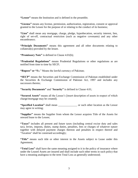**"Lessor"** means the Institution and is defined in the preamble;

**"License"** means any license, permission, authorization, registration, consent or approval granted to the Lessee for the purpose of or relating to the conduct of its business;

**"Lien"** shall mean any mortgage, charge, pledge, hypothecation, security interest, lien, right of set-off, contractual restriction (such as negative covenants) and any other encumbrance;

**"Principle Documents"** means this agreement and all other documents relating to collateral(s) provided by the lessee.

**"Promissory Note"** is defined in Clause 4.01(b);

**"Prudential Regulations"** means Prudential Regulations or other regulations as are notified from time to time by SECP;

**"Rupees" or "**Rs." Means the lawful currency of Pakistan;

**"SECP"** means the Securities and Exchange Commission of Pakistan established under the Securities & Exchange Commission of Pakistan Act, 1997 and includes any successors thereto;

**"Security Documents"** and "**Security"** is defined in Clause 4.01;

**"Secured Assets"** means all the Lessee's [insert description of assets in respect of which charge/mortgage may be created];

**"Specified Location"** shall mean \_\_\_\_\_\_\_\_\_\_\_\_\_\_ or such other location as the Lessor may agree in writing;

**"Supplier"** means the Supplier from whom the Lessor acquires Title of the Assets for onward lease to the Lessee;

**"Taxes"** includes all present and future taxes (including central excise duty and sales tax), levies, imposts, duties, stamp duties, penalties, fees or charges of whatever nature together with delayed payment charges thereon and penalties in respect thereof and "Taxation" shall be construed accordingly;

**"Title"** means such title or other interest in the Assets subject to Lease under this Agreement;

**"Total Loss"** shall have the same meaning assigned to it in the policy of insurance where under the Leased Assets are insured and shall include such other terms in such policy that have a meaning analogous to the term Total Loss as generally understood;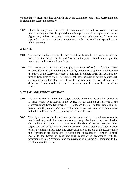**"Value Date"** means the date on which the Lease commences under this Agreement and is given in the Lease Document # \_\_\_\_;

**1.03** Clause headings and the table of contents are inserted for convenience of reference only and shall be ignored in the interpretation of this Agreement. In this Agreement, unless the context otherwise requires, references to Clauses and Appendices are to be construed as references to the clauses of, and Appendices to, this Agreement.

#### **2. LEASE**

- **2.01** The Lessor hereby leases to the Lessee and the Lessee hereby agrees to take on lease from the Lessor, the Leased Assets for the period stated herein upon the terms and conditions herein set forth.
- **2.02** The Lessee covenants and agrees to pay the amount of Rs.[-------] to the Lessor on execution of this Agreement as a security deposit to be applied in the absolute discretion of the Lessor in respect of any rent in default under this Lease at any time or from time to time. The Lessee shall have no right of set off against such security deposit, but shall be entitled to the return of the said deposit after deduction of any **actual** costs, charges or expenses at the end of the term of this Lease.

#### **3. TERMS AND PERIOD OF LEASE**

- **3.01** The term of the Lease and the charges payable hereunder (hereinafter referred to as lease rental) with respect to the Leased Assets shall be as set-forth in the aforementioned Lease Document # \_\_\_\_ attached hereto. The lease rental shall be payable monthly/quarterly/semi-annually in advance/arrears on the day mentioned in the Lease Document # \_\_\_\_ during the term of the Lease.
- **3.02** This Agreement or the lease hereunder in respect of the Leased Assets can be terminated only with the mutual consent of the parties hereto. Such termination shall take effect after ------- days from the date of parties' consent. This Agreement and all its terms and conditions shall, notwithstanding the termination of lease, continue in full force and effect until all obligations of the Lessee under this Agreement are discharged (including the obligation to return the Leased Assets to the Lessor in good operating condition in accordance with the provisions of this Agreement) and the payment of all sums due hereunder to the satisfaction of the Lessor.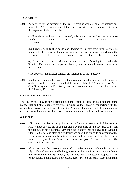#### **4. SECURITY**

**4.01** As security for the payment of the lease rentals as well as any other amount due under this Agreement and use of the Leased Assets as per conditions set out in this Agreement, the Lessee shall:

**(a)** Furnish to the Lessor a collateral(s), substantially in the form and substance attached hereto as Lease Document #  $(the "$ 

**(b)** Execute such further deeds and documents as may from time to time be required by the Lessor for the purpose of more fully securing and or perfecting the security created in favour of the Lessor; and

**(c)** Create such other securities to secure the Lessee's obligations under the Principal Documents as the parties, hereto, may by mutual consent agree from time to time.

(The above are hereinafter collectively referred to as the "**Security**").

**4.02** In addition to above, the Lessee shall execute a demand promissory note in favour of the Lessor for the entire amount of the lease rentals (the "Promissory Note"); (The Security and the Promissory Note are hereinafter collectively referred to as the "Security Documents").

#### **5. FEES AND EXPENSES**

The Lessee shall pay to the Lessor on demand within 15 days of such demand being made, legal and other ancillary expenses incurred by the Lessor in connection with the negotiation, preparation and execution of the Principal Documents and of amendment or extension of or the granting of any waiver or consent under the Principal Documents.

#### **6. RENTAL**

- **6.01** All payments to be made by the Lessee under this Agreement shall be made in full, without any set-off or counter claim whatsoever, on the due date and when the due date is not a Business Day, the next Business Day and save as provided in Clause 6.02, free and clear of any deductions or withholdings, to an account of the Lessor as may be notified from time to time, and the Lessee will only be released from its payment obligations hereunder by paying sums due into the aforementioned account;
- **6.02** If at any time the Lessee is required to make any non refundable and nonadjustable deduction or withholding in respect of Taxes from any payment due to the Lessor under this Agreement, the sum due from the Lessee in respect of such payment shall be increased to the extent necessary to ensure that, after the making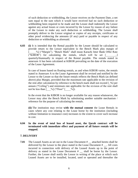of such deduction or withholding, the Lessor receives on the Payment Date, a net sum equal to the sum which it would have received had no such deduction or withholding been required to be made and the Lessee shall indemnify the Lessor against any actual losses or costs incurred by the Lessor by reason of any failure of the Lessee to make any such deduction or withholding. The Lessee shall promptly deliver to the Lessor original or copies of any receipts, certificates or other proof evidencing the amounts (if any) paid or payable in respect of any deduction or withholding as aforesaid.

**6.03 (i)** It is intended that the Rental payable by the Lessee should be calculated to provide return to the Lessor equivalent to the Bench Mark plus margin of [\_\_\_\_\_%] ("Margin"). "Bench Mark" shall mean Karachi Inter Bank Offer Rate ("KIBOR") for calculating the rentals, which will be set  $\lceil \qquad \rceil$ quarterly/biannually in respect of the Rental payable. The rentals stated in annexure A has been calculated at KIBOR prevailing on the date of the execution of the Lease Agreement.

In case of leases based on floating rentals, as and when KIBOR varies, the rentals stated in Annexure A to the Lease Agreement shall be revised and notified by the Lessor to the Lessee so that the future rentals reflects the Bench Mark (as defined above) plus Margin, provided that the maximum rate applicable to the revision of the rent after calculation by reference to the bench mark shall not exceed  $\lceil \frac{96}{2} \rceil$  per annum ("Ceiling") and minimum rate applicable for the revision of the rent shall not be less than  $\lceil \frac{9}{6} \rceil$  ("Floor"  $\lceil \frac{9}{6} \rceil$ ).

In the event that the KIBOR is no longer available for any reason whatsoever, the Lessor may alter the Bench Mark by substituting another suitable mechanism / reference for the purpose of calculating the rentals.

**(ii)** The institution may revise **with the mutual consent** the Lease Rentals in cases where any cost relating to the Lease borne by the institution (including without limitation to insurance cost) increases to the extent to cover such increase in cost.

**6.04 In the event of total loss of leased asset, the Ijarah contract will be terminated with immediate effect and payment of all future rentals will be stopped.** 

#### **7. DELIVERY**

**7.01** The Leased Assets as set out in the Lease Document # \_\_ attached hereto shall be delivered by the Lessor to the place stated in the Lease Document #  $\ldots$  All costs incurred in connection with delivery of the Leased Assets up to the point of delivery as stated in the Lease Document # \_\_ shall be borne by the Lessor. Further, the Lessee shall notify the Lessor in writing of the place at which such Leased Assets are to be installed, located, used or operated and thereafter the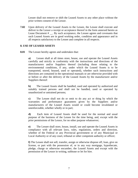Lessee shall not remove or shift the Leased Assets to any other place without the prior written consent of the Lessor.

**7.02** Upon delivery of the Leased Assets to the Lessee, the Lessee shall execute and deliver to the Lessor a receipt or acceptance thereof in the form annexed hereto as Lease Document # \_\_. By such acceptance, the Lessee agrees and covenants that such Leased Assets are in good working order, condition and appearance and in all respects satisfactory to the Lessee and complete in all respects.

#### **8. USE OF LEASED ASSETS**

**8.01** The Lessee hereby agrees and undertakes that:

**a)** Lessee shall at all times store, house, use and operate the Leased Assets carefully and strictly in conformity with the instructions and directions of the manufacturers and/or Suppliers thereof (including those relating to the environmental conditions, if any, under which the Leased Assets is to be transported, stored, housed, used or operated), whether such instructions and directions are contained in the operational manuals or are otherwise provided with or before or after the delivery of the Leased Assets by the manufacturer and/or Suppliers thereof:

**b)** The Leased Assets shall be handled, used and operated by authorized and suitably trained persons and shall not be handled, used or operated by unauthorized or untrained persons;

**c)** The Lessee shall not do or omit to do any act or thing by which the warranties and performance guarantees given by the Suppliers and/or manufacturers of the Leased Assets would or could become invalidated or unenforceable, whether wholly or in part;

**d)** Each item of Leased Assets shall be used for the normal and usual purpose of the business of the Lessee for the time being, and, except with the prior permissions of the Lessor, for no other purpose whatsoever;

**e)** The Lessee shall store, house, install, use and operate the Leased Assets in compliance with all relevant laws, rules, regulations, orders and direction, whether of the Federal or any Provincial government or of any Municipal or Local Authority or of any court, tribunal or other competent authority or officer;

**f)** The Lessee shall not sell, transfer, assign or otherwise dispose off, loan, give on license, or part with the possession of, or in any way mortgage, hypothecate, pledge, charge or otherwise encumber, the Leased Assets and except with the permission of the Lessor in writing, sublease or let for hire.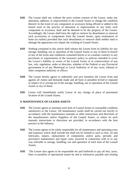- **8.02** The Lessee shall not, without the prior written consent of the Lessor, make any alteration, addition, or improvement to the Leased Assets or change the condition thereof; In the event of any component or accessory being affixed or added to the leased asset in the process of alteration or improvement of any kind, such component or accessory shall and be deemed to be the property of the Lessee. Accordingly, the Lessee shall have the right to retrieve by detachment or removal such accessories or components from the Leased Assets, upon termination of lease (or earlier) provided that such detachment or removal shall neither tend to damage the appearance nor impair the working of Leased Assets.
- **8.03** Nothing contained in this article shall release the Lessee from its liability for any storage, handling, use or operation of the Leased Assets or any of them in breach of any of the terms and conditions contained herein or in a manner contrary to any provisions or requirements of the insurance policy or policies intended to cover the Lessor's liability as owner of the Leased Assets or in contravention of any law, rule, regulation, order or direction, whether of the Federal or any Provincial government or of any Municipal or Local Authority or of any court, tribunal or other competent authority or officer;
- **8.04** The Lessee hereby agrees to indemnify and save harmless the Lessor from and against all claims and demands made and all fines or penalties levied or imposed in respect of or arising out of the storage, handling, use or operation of the Leased Assets or any of them;
- **8.05** Lessee will immediately notify Lessor of any change of place of permanent location of the Leased Assets.

#### **9. MAINTENANCE OF LEASED ASSETS**

- **9.01** The Lessee agrees to maintain each item of Leased Assets in reasonable condition satisfactory to the Lessor. All maintenance works shall be carried out strictly in accordance with the maintenance manuals or other instructions and directions of the manufacturers and/or Suppliers of the Leased Assets, or where no such manuals instructions or directions are provided, in accordance with the best practice in the industry;
- **9.02** The Lessee agrees to be solely responsible for all maintenance and operating costs and expenses which shall include but shall not be limited to such as fuel, oil and lubricants, repairs, replacement of components and/or parts, periodic and preventive maintenance and repair costs, incurred in connection with or in any way referable to storage, handling, use and operation of each item of the Leased Assets;
- **9.03** The Lessee also agrees to be responsible for and forthwith to pay all fees, taxes, fines or penalties of operational nature by and to whosoever payable and relating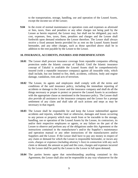to the transportation, storage, handling, use and operation of the Leased Assets, except the income tax of the Lessor;

**9.04** In the event of normal maintenance or operation costs and expenses as aforesaid or fees, taxes, fines and penalties or any other charges not being paid by the Lessee as herein required, the Lessor may, but shall not be obligated, pay such cost, expenses, fees, taxes, fines, penalties and charges and the Lessee shall forthwith upon demand reimburse the Lessor therefore. The Lessor shall always receive a fixed amount herein provided for as rent on the Leased Assets leased hereunder, and any other charges, such as those specified above shall be in addition to the rent payable by the Lessee to the Lessor.

#### **10. INSURANCE, ACCIDENTS, INJURIES AND INDEMNIFICATION**

- **10.01** The Lessor shall procure insurance coverage from reputable companies offering protection under the Islamic concept of Takaful. Until the Islamic insurance concept of Takaful is available the Leased Assets shall be comprehensively insured (with a reputable insurance company) against all insurable risks, which shall include, but not limited to fire, theft, accidents, collision, body and engine damage, vandalism, riots and acts of terrorism.
- **10.02** The Lessee, its agents and employees shall comply with all the terms and conditions of the said insurance policy, including the immediate reporting of accidents or damage to the Lessor and the insurance company and shall do all the things necessary or proper to protect or preserve the Leased Assets in accordance with the appropriate clause as mentioned in the Insurance policy. The Lessee shall also provide all assistance to the insurance company and the Lessor for a prompt settlement of any claim and shall take all such actions and steps as may be necessary in that regard;
- **10.03** The Lessee shall be responsible for and keep the Lessor indemnified against accidents and injuries, whether fatal or otherwise, damages and losses occurring to any person or property which may result from or be traceable to the storage, handling, use or operation of the Leased Assets by the Lessee, its contractors, its and/or their respective employees or agents, or any failure on the part of the Lessee to observe and perform any of the obligations under this Agreement or the instructions contained in the manufacturer's and/or the Supplier's maintenance and operation manual or any other instructions of the manufacturers and/or Suppliers and the Lessor. If the Lessor shall have to pay any money in respect of any claim or demand for which the Lessee is responsible hereunder, or incurs any costs, charges or expenses (including attorney's fees) in connection with any such claim or demand, the amount so paid and the costs, charges and expenses incurred by the Lessor shall be paid by the Lessee to the Lessor in full upon demand;
- **10.04** The parties hereto agree that notwithstanding anything contained in this Agreement, the Lessor shall also not be responsible in any way whatsoever for the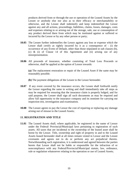products derived from or through the use or operation of the Leased Assets by the Lessee or anybody else nor also as to their efficacy or merchantability or otherwise, and the Lessee shall indemnify and keep indemnified the Lessor against any and all actions, proceedings, liabilities, claims, losses, damages, costs and expenses relating to or arising out of the storage, sale, use or consumption of any product derived there from which may be instituted against or suffered or incurred by the Lessor or by any other person or party;

- **10.05** The Lessee further indemnifies the Lessor against any loss or expense which the Lessor shall certify as rightly incurred by it as a consequence of : (i) the occurrence of any Event of Default, other than those stipulated in sub clauses (b), (c) & (i) of Clause 14 of this Agreement and (ii) arising out of any misrepresentation.
- **10.06** All proceeds of insurance, whether consisting of Total Loss Proceeds or otherwise, shall be applied at the option of Lessor towards:

**(a)** The replacement restoration or repair of the Leased Asset if the same may be reasonably possible.

- **(b)** The payment obligations of the Lessee to the Lessor hereunder.
- **10.07** If any event covered by the insurance occurs, the Lessee shall forthwith notify the Lessor regarding the same in writing and shall immediately take all steps as may be required for ensuring that the insurance claim is properly lodged, and for said purpose, the Lessee shall sign all such documents as may be required and allow full opportunity to the insurance company and its nominee for carrying out inspection test, investigation and examination.
- **10.08** The Lessee agrees to pay the Lessor the cost of repairing or replacing any damage arising out of misuse to the Leased Assets;

#### **11. REGISTRATION AND TITLE**

**11.01** The Leased Assets shall, where applicable, be registered in the name of Lessor under the Federal/ Provincial/Municipal laws pertaining to registration of such assets. All taxes that are incidental to the ownership of the leased asset shall be borne by the Lessor. Title, ownership and right of property in and to the Leased Assets leased hereunder shall at all times remain vested in Lessor and the Lessee covenants and agrees not to do or perform any act prejudicial thereto. Notwithstanding such registration, it is understood and agreed between the parties hereto that Lessor shall not be liable or responsible for the infraction of or noncompliance with any Federal/Provincial/Municipal statute, law, ordinance, rule or regulation whatsoever relating to the operation or use of Leased Assets;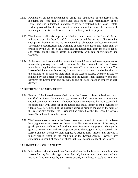- **11.02** Payment of all taxes incidental to usage and operations of the leased asset including the Road Tax, if applicable, shall be the sole responsibility of the Lessee, and it is understood this payment has been factored in the Lease Rentals. Further provided that if Lessee is not in default under this Lease, the Lessor will, upon request, furnish the Lessee a letter of authority for this purpose;
- **11.03** The Lessee shall affix a plate or label or other mark on the Leased Assets indicating that it has been leased from the Lessor and the Lessee shall ensure that such plates, labels or marks are not covered up, obliterated, defaced or removed. The detailed specifications and wordings of such plates, labels and marks shall be provided by the Lessor to the Lessee and the Lessee shall affix the plates, labels and marks on the leased assets in conformity with said specifications and wordings;
- **11.04** As between the Lessor and the Lessee, the Leased Assets shall remain personal or moveable property and shall continue in the ownership of the Lessor notwithstanding that the same may have been affixed to any land or building. The Lessee shall be responsible for any damage caused to any such land or building by the affixing to or removal there from of the Leased Assets, whether affixed or removed by the Lessee or the Lessor, and the Lessee shall indemnify and save harmless the Lessor from and against any and all claims made in respect of such damage.

#### **12. RETURN OF LEASED ASSETS**

- **12.01** Return of the Leased Assets shall be at the Lessor's place of business or as specified in Lease Document # \_ hereto attached. Any structural alteration, special equipment or material alteration hereinafter required by the Lessee shall be added only with approval of the Lessor and shall, subject to the provisions of Clause 8.02, be removed at the Lessee's expense prior to the end of the term of the lease hereby granted. The Lessor shall be entitled to label the Leased Assets as having been leased from the Lessor;
- **12.02** The Lessee agrees to return the Leased Assets at the end of the term of the lease hereby granted or any extension thereof or earlier upon termination of the lease, in good operating condition and working order, free from any physical damage. In general, normal wear and tear proportionate to the usage is to be expected. The Lessee and the Lessor or their respective Agents shall inspect and provide a jointly signed report on the condition of the Leased Assets. However, any condition as a result of neglect or abuse is the sole responsibility of the Lessee;

#### **13. LIMITATION OF LIABILITY**

**13.01** It is understood and agreed that Lessor shall not be liable or accountable to the Lessee for any loss, damage, claim, demand, liability, cost or expense of any nature or kind sustained by the Lessee directly or indirectly resulting from any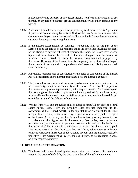inadequacy for any purpose, or any defect therein, from loss or interruption of use thereof, or any loss of business, profits consequential or any other damage of any nature;

- **13.02** Parties hereto shall not be required to carry out any of the terms of this Agreement if prevented from so doing by Acts of God, or the State's enemies or any other circumstances beyond their control and shall not be liable for any loss or damages sustained by any party resulting there from;
- **13.03** If the Leased Asset should be damaged without any fault on the part of the Lessee, but be capable of being repaired and if the applicable insurance proceeds be insufficient to pay the full cost of repairing the same, the Lessee may arrange repair and the difference between the actual cost of repairs and the amount of insurance claim received for it from the insurance company shall be payable by the Lessor. However, if the Leased Asset is completely lost or incapable of repair the proceeds of insurance shall be payable to the Lessor and this Agreement shall stand terminated;
- **13.04** All repairs, replacements or substitution of the parts or component of the Leased Assets necessitated due to normal usage shall be at the Lessee's expense;
- **13.05** The Lessor has not made and does not hereby make any representation as to merchantability, condition or suitability of the Leased Assets for the purpose of the Lessee or any other representation, with respect thereto. The Lessee agrees that its obligation hereunder to pay rentals herein provided for shall not in any way be affected by any such defect or failure of performance of the Leased Assets once it has accepted the delivery of the same;
- **13.06** Whenever they fall due, the Lessee shall be liable to forthwith pay all fees, central excise duties, taxes, levies and penalties **(that are not incidental to the ownership of the Leased Asset)**, under any statute or enactment for the time being in forced as may relate to or charged upon or otherwise payable in respect of the Leased Assets or any services in relation to leasing or any transaction or activities under this Agreement. In the event any fees, duties, taxes, levies and penalties or any maintenance or operating costs are levied and paid by the Lessor, the Lessee shall be responsible to reimburse the Lessor for the amount so paid. The Lessee recognizes that the Lessor has no liability whatsoever to make any payment whatsoever in respect of above stated account and the amount receivable under this Lease Agreement as Lease rental shall be net and not reducible in value on any account whatsoever.

#### **14. DEFAULT AND TERMINATION**

**14.01** This lease shall be terminated by the Lessor prior to expiration of its maximum terms in the event of default by the Lessee in either of the following manners;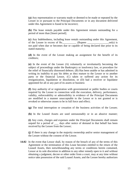**(a)** Any representation or warranty made or deemed to be made or repeated by the Lessee in or pursuant to the Principal Documents or in any document delivered under this Agreement is found to be incorrect;

**(b)** The lease rentals payable under this Agreement remain outstanding for a period of more than [Insert period];

**(c)** Any Indebtedness, including lease rentals outstanding under this Agreement, of the Lessee in excess of Rs. \_\_\_\_\_\_\_\_\_\_ (Rupees \_\_\_\_\_\_\_\_\_\_\_\_\_\_\_\_\_\_only) is not paid when due or becomes due or capable of being declared due prior to its stated maturity;

**(d)** In the event of the Lessee making an assignment for the benefit of its creditors;

**(e)** In the event of the Lessee (A) voluntarily or involuntarily becoming the subject of proceedings under the Bankruptcy or insolvency law, or procedure for the relief of financially distressed debtors. (B) Has been unable or has admitted in writing its inability to pay his debts as they mature to the Lessor or to another party or the financial Lessor, (C) taken or suffered any action for its reorganization, liquidation or dissolution, or (D) had a receiver or liquidator appointed for all or any part of its assets or business

**(f)** Any authority of or registration with governmental or public bodies or courts required by the Lessee in connection with the execution, delivery, performance, validity, enforceability or admissibility in evidence of the Principal Documents are modified in a manner unacceptable to the Lessor or is not granted or is revoked or otherwise ceases to be in full force and effect;

**(g)** The total interruption or cessation of the business activities of the Lessee;

**(h)** In the Leased Assets are used unreasonably or in an abusive manner;

**(i)** Any costs, charges and expenses under the Principal Documents shall remain unpaid for a period of days after notice of demand in that behalf has been received by the Lessee from the Lessor;

**(j**) If there is any change in the majority ownership and/or senior management of the Lessee without the consent of the Lessor.

**14.02** In the event that Lessor shall, by reason of the breach of any of the terms of this Agreement or the termination of this Lease becomes entitled to the return of the Leased Assets, then notwithstanding any terms or conditions herein contained, Lessor at its sole discretion in addition to any other remedy open to it and without obtaining a judgment, decree or other order from a court, may at any time without notice take possession of the said Leased Assets, and the Lessee hereby authorizes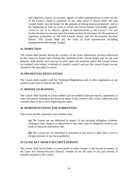and empowers Lessor, its servants, agents, or other representatives to enter on any of the Lessee's lands or premises, or any other place or places where the said Leased Assets may be found, for the purpose of taking possession thereof, and on the happening of such an event or events the Lessee hereby irrevocably appoints Lessor or any of its officers, agents, or representatives as the Lessee's true and lawful attorneys to execute such document as may be necessary for the purpose of regaining possession of the said Leased Assets and the accessories attached thereto. The Lessee shall pay the costs of such repossession including transportation and storage charges.

#### **15. INSPECTION**

The Lessee shall permit, during the currency of the Lease Agreement, persons authorized by the Lessor to inspect and examine the condition of the Leased Assets and, for the said purpose, shall permit such persons to enter upon the premises where the Leased Assets are situated, even where, in default of custody, control, and use, the Leased Assets are not situated at the Specified Location.

#### **16. PRUDENTIAL REGULATIONS**

The Lessee shall comply with the Prudential Regulations and or other regulations as are notified from time to time by the SECP.

#### **17. REPORT OF BUSINESS**

The Lessee shall furnish its latest audited and un-audited financial reports, statements or other documents relating to the financial status of the Lessee to the Lessor within ten (10) calendar days of the Lessor requesting the same.

#### **18. REPRESENTATIONS AND WARRANTIES**

The Lessee hereby represents and confirms that:

**(a)** The Lessee has not defaulted in respect of any payment obligation (whether relating to loan, finance or otherwise) or any other type of obligation owed to any bank or financial institution; and

**(b)** The Lessee has not defaulted in payment of any taxes or other dues owed to the government or any local authority.

#### **19. LEASE KEY MONEY/SECURITY DEPOSIT**

The Lessor shall not be liable to return/profit or other charges to the Lessee in respect of the Lease Key Money/Security Deposit, whether or not the same or any part thereof, is actually returned to the Lessee.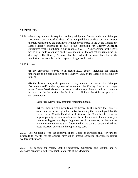#### **20. PENALTY**

**20.01** Where any amount is required to be paid by the Lessee under the Principal Documents on a specified date and is not paid by that date, or an extension thereof, permitted by the Institution without any increase in the Lease Rentals, the Lessee hereby undertakes to pay to the Institution for **Charity Account**, constituted by the Institution, a sum calculated  $@$  -----% per annum for the entire period of default, calculated on the total amount of the obligations remaining undischarged. The **Charity Account** shall be used at the absolute discretion of the Institution, exclusively for the purposes of approved charity.

**20.02** In case,

**(i)** any amount(s) referred to in clause 20.01 above, including the amount undertaken to be paid directly to the Charity Fund, by the Lessee, is not paid by him, or

**(ii)** the Lessee delays the payment of any amount due under the Principal Documents and/ or the payment of amount to the Charity Fund as envisaged under Clause 20.01 above, as a result of which any direct or indirect costs are incurred by the Institution, the Institution shall have the right to approach a competent Court:

**(a)** for recovery of any amounts remaining unpaid.

**(b)** for imposing of a penalty on the Lessee. In this regard the Lessee is aware and acknowledges that notwithstanding the amount paid by the Lessee to the Charity Fund of the Institution, the Court has the power to impose penalty, at its discretion, and from the amount of such penalty, a smaller or bigger part, depending upon the circumstances, can be awarded as solatium to the Institution, determined on the basis of direct and indirect costs incurred, other than the opportunity cost.

20.03 The Modaraba, with the approval of the Board of Directors shall forward the proceeds to charity for its onward distribution among approved charitable/religious/ welfare institutions.

20.05 The account for charity shall be separately maintained and audited, and be disclosed separately in the financial statements of the Modaraba.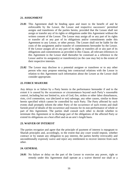#### **21. ASSIGNMENT**

- **21.01** This Agreement shall be binding upon and inure to the benefit of and be enforceable by the Lessor, the Lessee and respective successors' permitted assigns and transferees of the parties hereto, provided that the Lessee shall not assign or transfer any of its rights or obligations under this Agreement without the written consent of the Lessor. The Lessor may assign all or any part of its rights or transfer all or any part of its obligations and/or commitments under this Agreement to any Lessor, or other person. The Lessee shall not be liable for the costs of the assignment and/or transfer of commitments hereunder by the Lessor. If the Lessor assigns all or any part of its rights or transfers all or any part of its obligations and commitments as provided in this Clause, all relevant references in this Agreement to the Lessor shall thereafter be construed as a reference to the Lessor and/or its assignee(s) or transferee(s) (as the case may be) to the extent of their respective interests.
- **21.02** The Lessor may disclose to a potential assignee or transferee or to any other person who may propose entering into contractual relations with the Lessor in relation to this Agreement such information about the Lessee as the Lessor shall consider appropriate.

#### **22. FORCE MAJEURE**

Any delays in or failure by a Party hereto in the performance hereunder if and to the extent it is caused by the occurrences or circumstances beyond such Party's reasonable control, including but not limited to, acts of God, fire, strikes or other labor disturbances, riots, civil commotion, war (declared or not) sabotage, any other causes, similar to those herein specified which cannot be controlled by such Party. The Party affected by such events shall promptly inform the other Party of the occurrence of such events and shall furnish proof of details of the occurrence and reasons for its non-performance of whole or part of this Agreement. The parties shall consult each other to decide whether to terminate this Agreement or to discharge part of the obligations of the affected Party or extend its obligations on a best effort and on an arm's length basis.

#### **23. WAIVER OF INTEREST**

The parties recognize and agree that the principle of payment of interest is repugnant to Shariah principles and, accordingly, to the extent that any court would impose, whether contract or by statute any obligation to pay interest, the parties hereby irrevocably and unconditionally expressly waive and reject any entitlement to recover interest from each other.

#### **24. GENERAL**

**24.01** No failure or delay on the part of the Lessor to exercise any power, right or remedy under this Agreement shall operate as a waiver thereof nor shall or a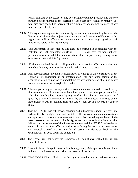partial exercise by the Lessor of any power right or remedy preclude any other or further exercise thereof or the exercise of any other power right or remedy. The remedies provided in this Agreement are cumulative and are not exclusive of any remedies provided by law;

- **24.02** This Agreement represents the entire Agreement and understanding between the Parties in relation to the subject matter and no amendment or modification to this Agreement will be effective or binding unless it is in writing, signed by both Parties and refers to this Agreement;
- **24.03** This Agreement is governed by and shall be construed in accordance with the Pakistani law. All competent courts at \_\_\_\_\_\_\_\_\_ shall have the non-exclusive jurisdiction to hear and determine any action, claim or proceedings arising out of or in connection with this Agreement.
- **24.04** Nothing contained herein shall prejudice or otherwise affect the rights and remedies that may otherwise be available under law to the parties.
- **24.05** Any reconstruction, division, reorganization or change in the constitution of the Lessor or its absorption in or amalgamation with any other person or the acquisition of all or part of its undertaking by any other person shall not in any way prejudice or affect its rights hereunder.
- **24.06** The two parties agree that any notice or communication required or permitted by this Agreement shall be deemed to have been given to the other party seven days after the same has been posted by registered mail or the next Business Day if given by a facsimile message or telex or by any other electronic means, or the next Business Day as counted from the date of delivery if delivered by courier mail.
- **24.7** That the LESSEE has full power, capacity and authority to execute, deliver and perform this Lease Agreement and has taken all necessary actions, authorizations and approvals (corporate or otherwise) to authorize the taking on lease of the leased assets upon the terms of this Agreement and to authorize its execution delivery and performance of this Lease Agreement and the LESSEE undertakes to keep such authorizations effective and in force during the lease term hereunder or any renewal thereof and till the leased assets are delivered back to the MODARABA in good order and condition;
- **24.8** The Lessee will not repay the Subordinated Loan if any without the written consent of Lessor.
- **24.09** There will be no change in constitution, Management, Main sponsors, Major Share holders of the Lessee without prior concurrence of the Lessor.
- **24.10** The MODARABA shall also have the right to raise the finance, and to create any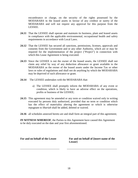encumbrance or charge, on the security of the rights possessed by the MODARABA in the leased assets in favour of any creditor or surety of the MODARABA and will not require any approval for this purpose from the LESSEE.

- **24.11** That the LESSEE shall operate and maintain its business, plant and leased assets in compliance with the applicable environmental, occupational health and safety requirements in accordance with Local Laws.
- **24.12** That the LESSEE has secured all sanctions, permissions, licenses, approvals and consents from the Government and or any other Authority, which are or may be required for the implementation of the project ("Project") in connection with which this Lease Agreement is being executed.
- **24.13** Since the LESSEE is not the owner of the leased assets, the LESSEE shall not claim any relief by way of any deduction allowance or grant available to the MODARABA as the owner of the leased assets under the Income Tax or other laws or rules of regulations and shall not do anything by which the MODARABA may be deprived of such allowance or grant.
- **24.14** The LESSEE undertakes with the MODARABA that:
	- a) The LESSEE shall promptly inform the MODARABA of any event or condition, which is likely to have an adverse effect on the operations, profits or business of the LESSEE;
- **24.15** This agreement may be amended or any term or condition waived only in writing executed by persons duly authorized, provided that no term or condition which has the effect of materiality altering the agreement or which is otherwise repugnant to *Shariah* shall be added, deleted or waived.
- **24.16** all schedules annexed hereto are and shall form an integral part of this agreement;

**IN WITNESS WHEREOF**, the Parties to this Agreement have caused this Agreement to be duly executed on the date and year first aforementioned.

**For and on behalf of the Lessee For and on behalf of [insert name of the Lessor]**

\_\_\_\_\_\_\_\_\_\_\_\_\_\_\_\_\_\_\_\_\_\_\_\_\_\_\_\_\_ \_\_\_\_\_\_\_\_\_\_\_\_\_\_\_\_\_\_\_\_\_\_\_\_\_\_\_\_\_\_\_\_\_\_\_\_\_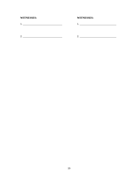# WITNESSES:

# **WITNESSES:**

 $1.$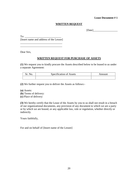#### **Lease Document # 1**

#### **WRITTEN REQUEST**

[Date]

 $To:$ [Insert name and address of the Lessor]

\_\_\_\_\_\_\_\_\_\_\_\_\_\_\_\_\_\_\_\_\_\_\_\_\_\_\_\_\_\_\_ \_\_\_\_\_\_\_\_\_\_\_\_\_\_\_\_\_\_\_\_\_\_\_\_\_\_\_\_\_\_\_

Dear Sirs,

#### **WRITTEN REQUEST FOR PURCHASE OF ASSETS**

**(1)** We request you to kindly procure the Assets described below to be leased to us under a separate Agreement:

| $\sim$<br>Sneci<br>cification of Assets | ш |
|-----------------------------------------|---|
|                                         |   |

**(2)** We further request you to deliver the Assets as follows:-

**(a)** Assets:

**(b)** Terms of delivery:

**(c)** Place of delivery:

**(3)** We hereby certify that the Lease of the Assets by you to us shall not result in a breach of our organizational documents, any provision of any document to which we are a party or by which we are bound, or any applicable law, rule or regulation, whether directly or indirectly.

Yours faithfully,

For and on behalf of [Insert name of the Lessee]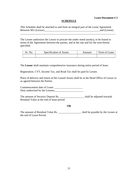#### **Lease Document # 2**

#### **SCHEDULE**

This Schedule shall be attached to and form an integral part of the Lease Agreement Between M/s (Lessor)\_\_\_\_\_\_\_\_\_\_\_\_\_\_\_\_\_\_\_\_\_\_\_\_\_\_\_\_\_\_\_\_\_\_\_\_\_\_\_\_\_and (Lessee)

\_\_\_\_\_\_\_\_\_\_\_\_\_\_\_\_\_\_\_\_\_\_\_\_\_\_\_\_\_\_\_\_\_\_\_\_\_\_\_\_\_\_\_\_\_\_\_\_\_\_\_\_\_\_\_\_\_\_\_\_\_\_\_\_\_\_\_\_\_\_.

The Lessee authorizes the Lessor to procure the under noted asset(s), to be leased in terms of the Agreement between the parties, and at the rate and for the term herein specified.

| Sr. No. | Specification of Assets | Amount | Term of Lease |
|---------|-------------------------|--------|---------------|
|         |                         |        |               |

The **Lessor** shall maintain comprehensive insurance during entire period of lease.

Registration, CVT, Income Tax, and Road Tax shall be paid by Lessee.

Place of delivery and return of the Leased Assets shall be at the Head Office of Lessor or as agreed between the Parties.

Commencement date of Lease: \_\_\_\_\_\_\_\_\_\_\_\_\_\_\_\_\_\_\_\_\_ Duly authorized by the Lessees:

The amount of Security Deposit Rs. \_\_\_\_\_\_\_\_\_\_\_\_\_\_\_\_\_\_ shall be adjusted towards Residual Value at the end of lease period

#### **OR**

The amount of Residual Value Rs. \_\_\_\_\_\_\_\_\_\_\_\_\_\_\_\_\_\_\_\_\_\_ shall be payable by the Lessee at the end of Lease Period.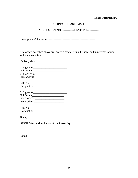#### **Lease Document # 3**

### **RECEIPT OF LEASED ASSETS**

#### **AGREEMENT NO [-------------] DATED [-------------]**

Description of the Assets: --------------------------------------------------- ------------------------------------------------------------------------------------

------------------------------------------------------------------------------------

The Assets described above are received complete in all respect and in perfect working order and condition.

Delivery dated\_\_\_\_\_\_\_\_\_\_

| 1. Signature     |  |
|------------------|--|
| <b>Full Name</b> |  |
| S/O.D/O.W/O.     |  |
| Res.Address      |  |

| NIC No.     |  |  |
|-------------|--|--|
| Designation |  |  |

| 2. Signature_ |  |
|---------------|--|
| Full Name     |  |
| S/O.D/O.W/O.  |  |
| Res.Address   |  |

| NIC No.     |  |
|-------------|--|
| Designation |  |

Stamp \_\_\_\_\_\_\_\_\_\_\_\_\_\_

### **SIGNED for and on behalf of the Lessor by:**

-----------------------

Dated:\_\_\_\_\_\_\_\_\_\_\_\_\_\_\_